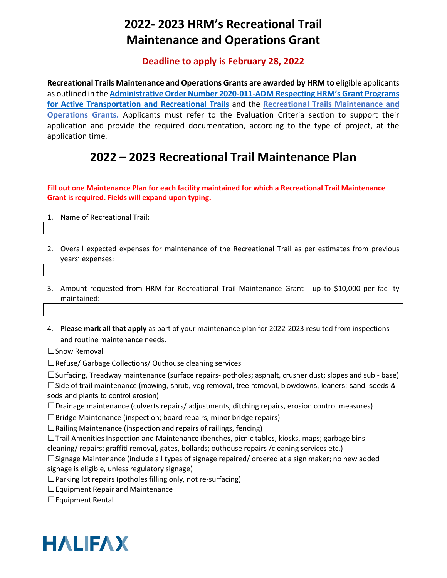# **2022- 2023 HRM's Recreational Trail Maintenance and Operations Grant**

#### **Deadline to apply is February 28, 2022**

**Recreational Trails Maintenance and Operations Grants are awarded by HRM to** eligible applicants as outlined in the **[Administrative Order Number 2020-011-ADM Respecting](https://www.halifax.ca/sites/default/files/documents/city-hall/legislation-by-laws/2020-011-ADM.pdf) HRM's Grant Programs [for Active Transportation and Recreational Trails](https://www.halifax.ca/sites/default/files/documents/city-hall/legislation-by-laws/2020-011-ADM.pdf)** and the **[Recreational Trails Maintenance and](https://www.halifax.ca/sites/default/files/documents/recreation/parks-trails-gardens/2022%20-%202023%20Recreational%20Trails%20Operations%20and%20Maintenance%20Grants%20Terms%20and%20Conditions.pdf)  [Operations Grants.](https://www.halifax.ca/sites/default/files/documents/recreation/parks-trails-gardens/2022%20-%202023%20Recreational%20Trails%20Operations%20and%20Maintenance%20Grants%20Terms%20and%20Conditions.pdf)** Applicants must refer to the Evaluation Criteria section to support their application and provide the required documentation, according to the type of project, at the application time.

#### **2022 – 2023 Recreational Trail Maintenance Plan**

**Fill out one Maintenance Plan for each facility maintained for which a Recreational Trail Maintenance Grant is required. Fields will expand upon typing.** 

- 1. Name of Recreational Trail:
- 2. Overall expected expenses for maintenance of the Recreational Trail as per estimates from previous years' expenses:
- 3. Amount requested from HRM for Recreational Trail Maintenance Grant up to \$10,000 per facility maintained:
- 4. **Please mark all that apply** as part of your maintenance plan for 2022-2023 resulted from inspections and routine maintenance needs.

☐Snow Removal

☐Refuse/ Garbage Collections/ Outhouse cleaning services

 $\Box$ Surfacing, Treadway maintenance (surface repairs- potholes; asphalt, crusher dust; slopes and sub - base)  $□$ Side of trail maintenance (mowing, shrub, veg removal, tree removal, blowdowns, leaners; sand, seeds & sods and plants to control erosion)

 $\Box$ Drainage maintenance (culverts repairs/ adjustments; ditching repairs, erosion control measures)

☐Bridge Maintenance (inspection; board repairs, minor bridge repairs)

 $\Box$ Railing Maintenance (inspection and repairs of railings, fencing)

 $\Box$ Trail Amenities Inspection and Maintenance (benches, picnic tables, kiosks, maps; garbage bins -

cleaning/ repairs; graffiti removal, gates, bollards; outhouse repairs /cleaning services etc.)

 $\Box$ Signage Maintenance (include all types of signage repaired/ ordered at a sign maker; no new added signage is eligible, unless regulatory signage)

 $\Box$ Parking lot repairs (potholes filling only, not re-surfacing)

☐Equipment Repair and Maintenance

 $\Box$ Equipment Rental

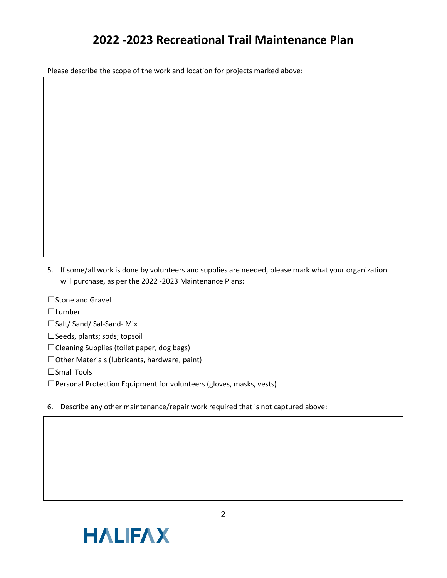### **2022 -2023 Recreational Trail Maintenance Plan**

Please describe the scope of the work and location for projects marked above:

5. If some/all work is done by volunteers and supplies are needed, please mark what your organization will purchase, as per the 2022 -2023 Maintenance Plans:

☐Stone and Gravel

☐Lumber

☐Salt/ Sand/ Sal-Sand- Mix

☐Seeds, plants; sods; topsoil

☐Cleaning Supplies (toilet paper, dog bags)

☐Other Materials (lubricants, hardware, paint)

☐Small Tools

☐Personal Protection Equipment for volunteers (gloves, masks, vests)

6. Describe any other maintenance/repair work required that is not captured above: